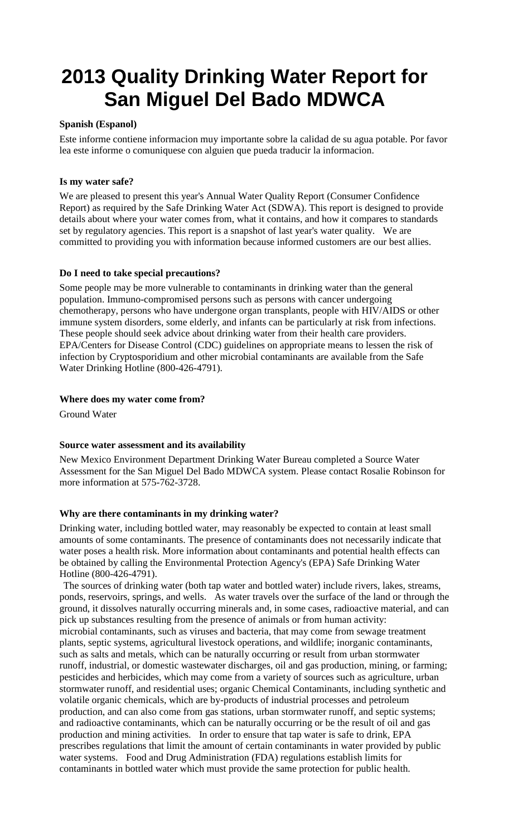# **2013 Quality Drinking Water Report for San Miguel Del Bado MDWCA**

#### **Spanish (Espanol)**

Este informe contiene informacion muy importante sobre la calidad de su agua potable. Por favor lea este informe o comuniquese con alguien que pueda traducir la informacion.

#### **Is my water safe?**

We are pleased to present this year's Annual Water Quality Report (Consumer Confidence Report) as required by the Safe Drinking Water Act (SDWA). This report is designed to provide details about where your water comes from, what it contains, and how it compares to standards set by regulatory agencies. This report is a snapshot of last year's water quality. We are committed to providing you with information because informed customers are our best allies.

#### **Do I need to take special precautions?**

Some people may be more vulnerable to contaminants in drinking water than the general population. Immuno-compromised persons such as persons with cancer undergoing chemotherapy, persons who have undergone organ transplants, people with HIV/AIDS or other immune system disorders, some elderly, and infants can be particularly at risk from infections. These people should seek advice about drinking water from their health care providers. EPA/Centers for Disease Control (CDC) guidelines on appropriate means to lessen the risk of infection by Cryptosporidium and other microbial contaminants are available from the Safe Water Drinking Hotline (800-426-4791).

#### **Where does my water come from?**

Ground Water

#### **Source water assessment and its availability**

New Mexico Environment Department Drinking Water Bureau completed a Source Water Assessment for the San Miguel Del Bado MDWCA system. Please contact Rosalie Robinson for more information at 575-762-3728.

#### **Why are there contaminants in my drinking water?**

Drinking water, including bottled water, may reasonably be expected to contain at least small amounts of some contaminants. The presence of contaminants does not necessarily indicate that water poses a health risk. More information about contaminants and potential health effects can be obtained by calling the Environmental Protection Agency's (EPA) Safe Drinking Water Hotline (800-426-4791).

The sources of drinking water (both tap water and bottled water) include rivers, lakes, streams, ponds, reservoirs, springs, and wells. As water travels over the surface of the land or through the ground, it dissolves naturally occurring minerals and, in some cases, radioactive material, and can pick up substances resulting from the presence of animals or from human activity: microbial contaminants, such as viruses and bacteria, that may come from sewage treatment plants, septic systems, agricultural livestock operations, and wildlife; inorganic contaminants, such as salts and metals, which can be naturally occurring or result from urban stormwater runoff, industrial, or domestic wastewater discharges, oil and gas production, mining, or farming; pesticides and herbicides, which may come from a variety of sources such as agriculture, urban stormwater runoff, and residential uses; organic Chemical Contaminants, including synthetic and volatile organic chemicals, which are by-products of industrial processes and petroleum production, and can also come from gas stations, urban stormwater runoff, and septic systems; and radioactive contaminants, which can be naturally occurring or be the result of oil and gas production and mining activities. In order to ensure that tap water is safe to drink, EPA prescribes regulations that limit the amount of certain contaminants in water provided by public water systems. Food and Drug Administration (FDA) regulations establish limits for contaminants in bottled water which must provide the same protection for public health.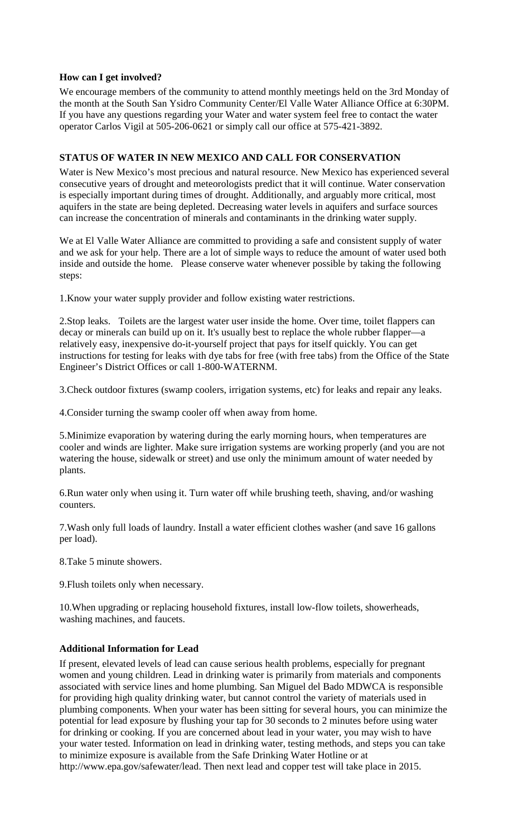#### **How can I get involved?**

We encourage members of the community to attend monthly meetings held on the 3rd Monday of the month at the South San Ysidro Community Center/El Valle Water Alliance Office at 6:30PM. If you have any questions regarding your Water and water system feel free to contact the water operator Carlos Vigil at 505-206-0621 or simply call our office at 575-421-3892.

#### **STATUS OF WATER IN NEW MEXICO AND CALL FOR CONSERVATION**

Water is New Mexico's most precious and natural resource. New Mexico has experienced several consecutive years of drought and meteorologists predict that it will continue. Water conservation is especially important during times of drought. Additionally, and arguably more critical, most aquifers in the state are being depleted. Decreasing water levels in aquifers and surface sources can increase the concentration of minerals and contaminants in the drinking water supply.

We at El Valle Water Alliance are committed to providing a safe and consistent supply of water and we ask for your help. There are a lot of simple ways to reduce the amount of water used both inside and outside the home. Please conserve water whenever possible by taking the following steps:

1.Know your water supply provider and follow existing water restrictions.

2.Stop leaks. Toilets are the largest water user inside the home. Over time, toilet flappers can decay or minerals can build up on it. It's usually best to replace the whole rubber flapper—a relatively easy, inexpensive do-it-yourself project that pays for itself quickly. You can get instructions for testing for leaks with dye tabs for free (with free tabs) from the Office of the State Engineer's District Offices or call 1-800-WATERNM.

3.Check outdoor fixtures (swamp coolers, irrigation systems, etc) for leaks and repair any leaks.

4.Consider turning the swamp cooler off when away from home.

5.Minimize evaporation by watering during the early morning hours, when temperatures are cooler and winds are lighter. Make sure irrigation systems are working properly (and you are not watering the house, sidewalk or street) and use only the minimum amount of water needed by plants.

6.Run water only when using it. Turn water off while brushing teeth, shaving, and/or washing counters.

7.Wash only full loads of laundry. Install a water efficient clothes washer (and save 16 gallons per load).

8.Take 5 minute showers.

9.Flush toilets only when necessary.

10.When upgrading or replacing household fixtures, install low-flow toilets, showerheads, washing machines, and faucets.

#### **Additional Information for Lead**

If present, elevated levels of lead can cause serious health problems, especially for pregnant women and young children. Lead in drinking water is primarily from materials and components associated with service lines and home plumbing. San Miguel del Bado MDWCA is responsible for providing high quality drinking water, but cannot control the variety of materials used in plumbing components. When your water has been sitting for several hours, you can minimize the potential for lead exposure by flushing your tap for 30 seconds to 2 minutes before using water for drinking or cooking. If you are concerned about lead in your water, you may wish to have your water tested. Information on lead in drinking water, testing methods, and steps you can take to minimize exposure is available from the Safe Drinking Water Hotline or at http://www.epa.gov/safewater/lead. Then next lead and copper test will take place in 2015.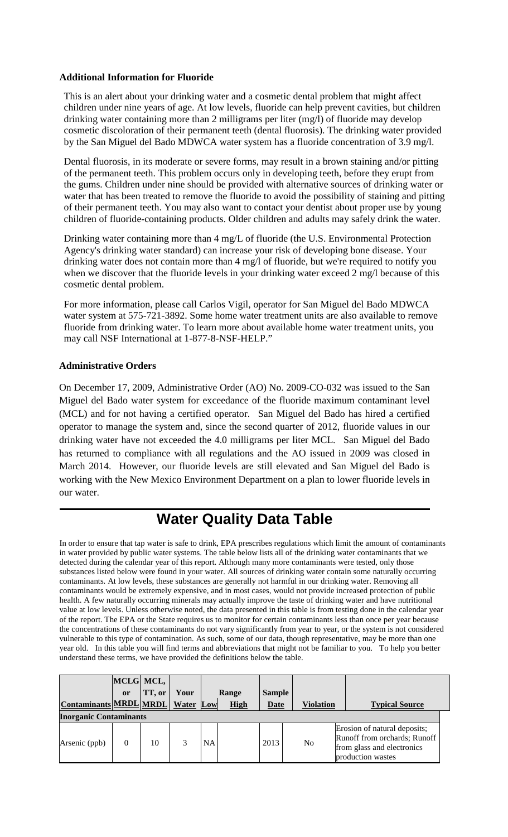#### **Additional Information for Fluoride**

This is an alert about your drinking water and a cosmetic dental problem that might affect children under nine years of age. At low levels, fluoride can help prevent cavities, but children drinking water containing more than 2 milligrams per liter (mg/l) of fluoride may develop cosmetic discoloration of their permanent teeth (dental fluorosis). The drinking water provided by the San Miguel del Bado MDWCA water system has a fluoride concentration of 3.9 mg/l.

Dental fluorosis, in its moderate or severe forms, may result in a brown staining and/or pitting of the permanent teeth. This problem occurs only in developing teeth, before they erupt from the gums. Children under nine should be provided with alternative sources of drinking water or water that has been treated to remove the fluoride to avoid the possibility of staining and pitting of their permanent teeth. You may also want to contact your dentist about proper use by young children of fluoride-containing products. Older children and adults may safely drink the water.

Drinking water containing more than 4 mg/L of fluoride (the U.S. Environmental Protection Agency's drinking water standard) can increase your risk of developing bone disease. Your drinking water does not contain more than 4 mg/l of fluoride, but we're required to notify you when we discover that the fluoride levels in your drinking water exceed 2 mg/l because of this cosmetic dental problem.

For more information, please call Carlos Vigil, operator for San Miguel del Bado MDWCA water system at 575-721-3892. Some home water treatment units are also available to remove fluoride from drinking water. To learn more about available home water treatment units, you may call NSF International at 1-877-8-NSF-HELP."

#### **Administrative Orders**

On December 17, 2009, Administrative Order (AO) No. 2009-CO-032 was issued to the San Miguel del Bado water system for exceedance of the fluoride maximum contaminant level (MCL) and for not having a certified operator. San Miguel del Bado has hired a certified operator to manage the system and, since the second quarter of 2012, fluoride values in our drinking water have not exceeded the 4.0 milligrams per liter MCL. San Miguel del Bado has returned to compliance with all regulations and the AO issued in 2009 was closed in March 2014. However, our fluoride levels are still elevated and San Miguel del Bado is working with the New Mexico Environment Department on a plan to lower fluoride levels in our water.

## **Water Quality Data Table**

In order to ensure that tap water is safe to drink, EPA prescribes regulations which limit the amount of contaminants in water provided by public water systems. The table below lists all of the drinking water contaminants that we detected during the calendar year of this report. Although many more contaminants were tested, only those substances listed below were found in your water. All sources of drinking water contain some naturally occurring contaminants. At low levels, these substances are generally not harmful in our drinking water. Removing all contaminants would be extremely expensive, and in most cases, would not provide increased protection of public health. A few naturally occurring minerals may actually improve the taste of drinking water and have nutritional value at low levels. Unless otherwise noted, the data presented in this table is from testing done in the calendar year of the report. The EPA or the State requires us to monitor for certain contaminants less than once per year because the concentrations of these contaminants do not vary significantly from year to year, or the system is not considered vulnerable to this type of contamination. As such, some of our data, though representative, may be more than one year old. In this table you will find terms and abbreviations that might not be familiar to you. To help you better understand these terms, we have provided the definitions below the table.

|                                  |    | MCLG MCL, |      |    |             |               |                  |                                                                                                                 |
|----------------------------------|----|-----------|------|----|-------------|---------------|------------------|-----------------------------------------------------------------------------------------------------------------|
|                                  | or | TT, or    | Your |    | Range       | <b>Sample</b> |                  |                                                                                                                 |
| Contaminants MRDL MRDL Water Low |    |           |      |    | <b>High</b> | <b>Date</b>   | <b>Violation</b> | <b>Typical Source</b>                                                                                           |
| <b>Inorganic Contaminants</b>    |    |           |      |    |             |               |                  |                                                                                                                 |
| Arsenic (ppb)                    | 0  | 10        | 3    | NA |             | 2013          | N <sub>0</sub>   | Erosion of natural deposits;<br>Runoff from orchards; Runoff<br>from glass and electronics<br>production wastes |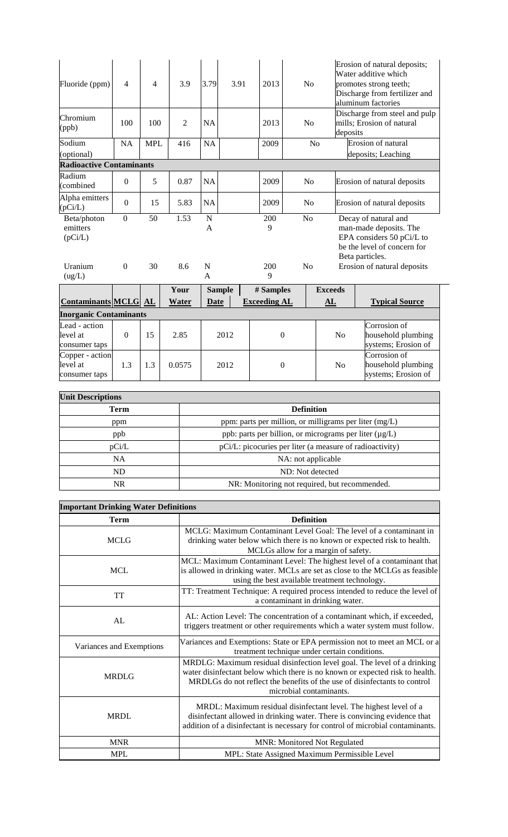| Fluoride (ppm)                             | $\overline{4}$   | $\overline{\mathcal{L}}$ | 3.9    | 3.79                | 3.91          | 2013                | N <sub>o</sub>   |                | Erosion of natural deposits;<br>Water additive which<br>promotes strong teeth;<br>Discharge from fertilizer and<br>aluminum factories |
|--------------------------------------------|------------------|--------------------------|--------|---------------------|---------------|---------------------|------------------|----------------|---------------------------------------------------------------------------------------------------------------------------------------|
| Chromium<br>(ppb)                          | 100              | 100                      | 2      | NA                  |               | 2013                | No               | deposits       | Discharge from steel and pulp<br>mills; Erosion of natural                                                                            |
| Sodium<br>(optional)                       | <b>NA</b>        | <b>MPL</b>               | 416    | <b>NA</b>           |               | 2009                |                  | N <sub>o</sub> | Erosion of natural<br>deposits; Leaching                                                                                              |
| <b>Radioactive Contaminants</b>            |                  |                          |        |                     |               |                     |                  |                |                                                                                                                                       |
| Radium<br>(combined                        | $\boldsymbol{0}$ | 5                        | 0.87   | <b>NA</b>           |               | 2009                | N <sub>o</sub>   |                | Erosion of natural deposits                                                                                                           |
| Alpha emitters<br>(pCi/L)                  | $\mathbf{0}$     | 15                       | 5.83   | NA                  |               | 2009                | N <sub>0</sub>   |                | Erosion of natural deposits                                                                                                           |
| Beta/photon<br>emitters<br>(pCi/L)         | $\mathbf{0}$     | 50                       | 1.53   | $\overline{N}$<br>A |               | 200<br>9            | N <sub>o</sub>   |                | Decay of natural and<br>man-made deposits. The<br>EPA considers 50 pCi/L to<br>be the level of concern for<br>Beta particles.         |
| Uranium<br>(ug/L)                          | $\Omega$         | 30                       | 8.6    | N<br>A              |               | 200<br>9            | No               |                | Erosion of natural deposits                                                                                                           |
|                                            |                  |                          | Your   |                     | <b>Sample</b> | # Samples           |                  | <b>Exceeds</b> |                                                                                                                                       |
| <b>Contaminants MCLG AL</b>                |                  |                          | Water  | <b>Date</b>         |               | <b>Exceeding AL</b> |                  | AL             | <b>Typical Source</b>                                                                                                                 |
| <b>Inorganic Contaminants</b>              |                  |                          |        |                     |               |                     |                  |                |                                                                                                                                       |
| Lead - action<br>level at<br>consumer taps | $\overline{0}$   | 15                       | 2.85   |                     | 2012          |                     | $\overline{0}$   | N <sub>o</sub> | Corrosion of<br>household plumbing<br>systems; Erosion of                                                                             |
| Copper - action<br>level at                | 1.3              | 1.3                      | 0.0575 |                     | 2012          |                     | $\boldsymbol{0}$ | No             | Corrosion of<br>household plumbing                                                                                                    |

| <b>Unit Descriptions</b> |                                                             |  |  |  |  |
|--------------------------|-------------------------------------------------------------|--|--|--|--|
| Term                     | <b>Definition</b>                                           |  |  |  |  |
| ppm                      | ppm: parts per million, or milligrams per liter $(mg/L)$    |  |  |  |  |
| ppb                      | ppb: parts per billion, or micrograms per liter $(\mu g/L)$ |  |  |  |  |
| pCi/L                    | pCi/L: picocuries per liter (a measure of radioactivity)    |  |  |  |  |
| <b>NA</b>                | NA: not applicable                                          |  |  |  |  |
| ND.                      | ND: Not detected                                            |  |  |  |  |
| NR.                      | NR: Monitoring not required, but recommended.               |  |  |  |  |

systems; Erosion of

consumer taps

| <b>Important Drinking Water Definitions</b> |                                                                                                                                                                                                                                                                  |  |  |  |  |  |
|---------------------------------------------|------------------------------------------------------------------------------------------------------------------------------------------------------------------------------------------------------------------------------------------------------------------|--|--|--|--|--|
| <b>Term</b>                                 | <b>Definition</b>                                                                                                                                                                                                                                                |  |  |  |  |  |
| <b>MCLG</b>                                 | MCLG: Maximum Contaminant Level Goal: The level of a contaminant in<br>drinking water below which there is no known or expected risk to health.<br>MCLGs allow for a margin of safety.                                                                           |  |  |  |  |  |
| <b>MCL</b>                                  | MCL: Maximum Contaminant Level: The highest level of a contaminant that<br>is allowed in drinking water. MCLs are set as close to the MCLGs as feasible<br>using the best available treatment technology.                                                        |  |  |  |  |  |
| <b>TT</b>                                   | TT: Treatment Technique: A required process intended to reduce the level of<br>a contaminant in drinking water.                                                                                                                                                  |  |  |  |  |  |
| AL                                          | AL: Action Level: The concentration of a contaminant which, if exceeded,<br>triggers treatment or other requirements which a water system must follow.                                                                                                           |  |  |  |  |  |
| Variances and Exemptions                    | Variances and Exemptions: State or EPA permission not to meet an MCL or a<br>treatment technique under certain conditions.                                                                                                                                       |  |  |  |  |  |
| <b>MRDLG</b>                                | MRDLG: Maximum residual disinfection level goal. The level of a drinking<br>water disinfectant below which there is no known or expected risk to health.<br>MRDLGs do not reflect the benefits of the use of disinfectants to control<br>microbial contaminants. |  |  |  |  |  |
| <b>MRDL</b>                                 | MRDL: Maximum residual disinfectant level. The highest level of a<br>disinfectant allowed in drinking water. There is convincing evidence that<br>addition of a disinfectant is necessary for control of microbial contaminants.                                 |  |  |  |  |  |
| <b>MNR</b>                                  | <b>MNR: Monitored Not Regulated</b>                                                                                                                                                                                                                              |  |  |  |  |  |
| <b>MPL</b>                                  | MPL: State Assigned Maximum Permissible Level                                                                                                                                                                                                                    |  |  |  |  |  |